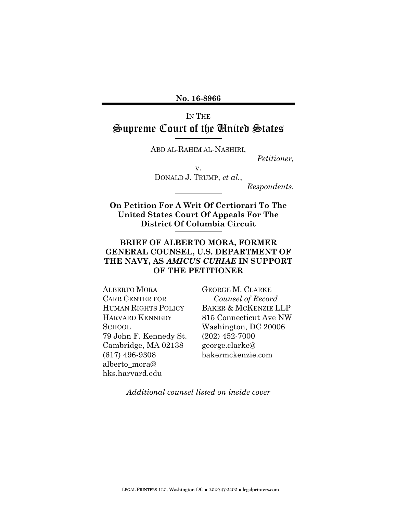**No. 16-8966** 

# IN THE Supreme Court of the United States

ABD AL-RAHIM AL-NASHIRI,

*Petitioner,* 

v. DONALD J. TRUMP, *et al.*,

*Respondents.* 

**On Petition For A Writ Of Certiorari To The United States Court Of Appeals For The District Of Columbia Circuit** 

#### **BRIEF OF ALBERTO MORA, FORMER GENERAL COUNSEL, U.S. DEPARTMENT OF THE NAVY, AS** *AMICUS CURIAE* **IN SUPPORT OF THE PETITIONER**

ALBERTO MORA CARR CENTER FOR HUMAN RIGHTS POLICY HARVARD KENNEDY SCHOOL 79 John F. Kennedy St. Cambridge, MA 02138 (617) 496-9308 alberto\_mora@ hks.harvard.edu

GEORGE M. CLARKE *Counsel of Record*  BAKER & MCKENZIE LLP 815 Connecticut Ave NW Washington, DC 20006 (202) 452-7000 george.clarke@ bakermckenzie.com

*Additional counsel listed on inside cover*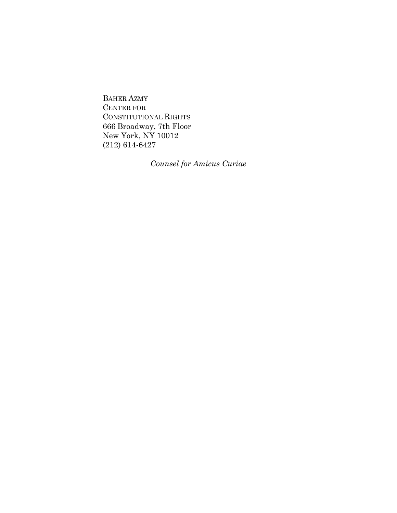BAHER AZMY CENTER FOR CONSTITUTIONAL RIGHTS 666 Broadway, 7th Floor New York, NY 10012 (212) 614-6427

*Counsel for Amicus Curiae*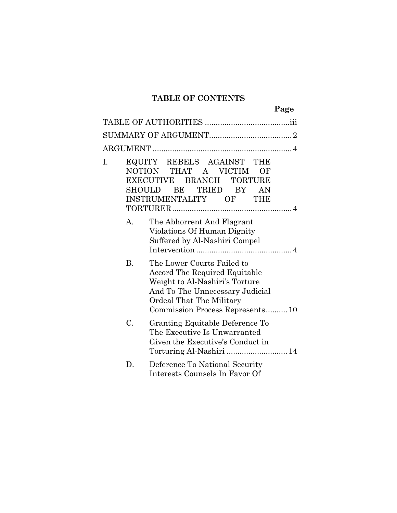#### **TABLE OF CONTENTS**

**Page** 

| I. | <b>SHOULD</b> | EQUITY REBELS AGAINST<br>THE<br>NOTION THAT A VICTIM<br>ОF<br>EXECUTIVE BRANCH<br><b>TORTURE</b><br>BE<br>TRIED<br>BY -<br>AN<br>INSTRUMENTALITY OF THE                                         |
|----|---------------|-------------------------------------------------------------------------------------------------------------------------------------------------------------------------------------------------|
|    | A.            | The Abhorrent And Flagrant<br>Violations Of Human Dignity<br>Suffered by Al-Nashiri Compel                                                                                                      |
|    | <b>B.</b>     | The Lower Courts Failed to<br>Accord The Required Equitable<br>Weight to Al-Nashiri's Torture<br>And To The Unnecessary Judicial<br>Ordeal That The Military<br>Commission Process Represents10 |
|    | C.            | Granting Equitable Deference To<br>The Executive Is Unwarranted<br>Given the Executive's Conduct in<br>Torturing Al-Nashiri  14                                                                 |
|    | D.            | Deference To National Security<br>Interests Counsels In Favor Of                                                                                                                                |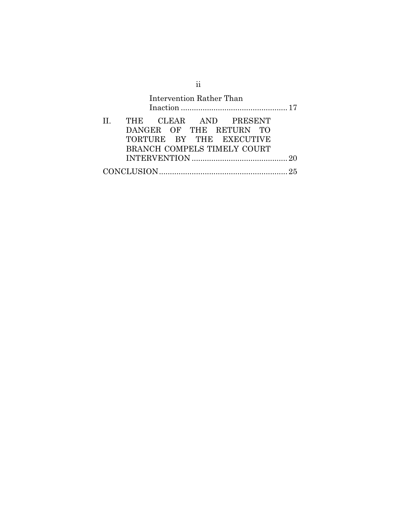|              |                             |  | Intervention Rather Than |  |  |
|--------------|-----------------------------|--|--------------------------|--|--|
| $\mathbf{H}$ | THE CLEAR AND PRESENT       |  |                          |  |  |
|              | DANGER OF THE RETURN TO     |  |                          |  |  |
|              | TORTURE BY THE EXECUTIVE    |  |                          |  |  |
|              | BRANCH COMPELS TIMELY COURT |  |                          |  |  |
|              |                             |  |                          |  |  |
|              |                             |  |                          |  |  |

ii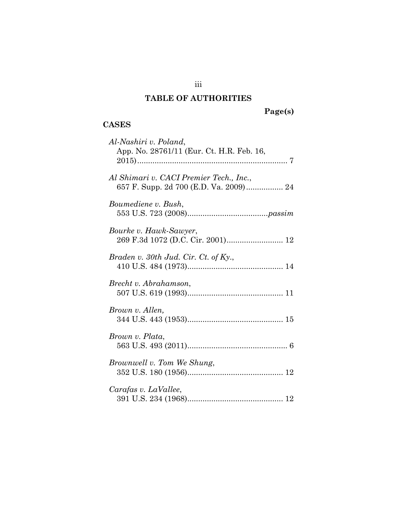#### **TABLE OF AUTHORITIES**

# **Page(s)**

# **CASES**

| Al-Nashiri v. Poland,<br>App. No. 28761/11 (Eur. Ct. H.R. Feb. 16,                |
|-----------------------------------------------------------------------------------|
| Al Shimari v. CACI Premier Tech., Inc.,<br>657 F. Supp. 2d 700 (E.D. Va. 2009) 24 |
| Boumediene v. Bush,                                                               |
| Bourke v. Hawk-Sawyer,                                                            |
| Braden v. $30th$ Jud. Cir. Ct. of Ky.,                                            |
| Brecht v. Abrahamson,                                                             |
| Brown v. Allen,                                                                   |
| Brown v. Plata,                                                                   |
| Brownwell v. Tom We Shung,                                                        |
| Carafas v. LaVallee,                                                              |

iii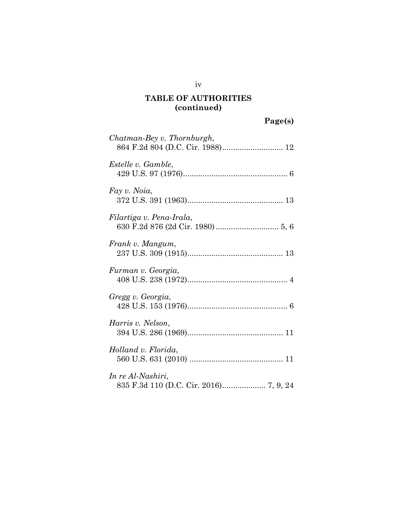iv

| Chatman-Bey v. Thornburgh, |
|----------------------------|
| Estelle v. Gamble,         |
| Fay v. Noia,               |
| Filartiga v. Pena-Irala,   |
| Frank v. Mangum,           |
| Furman v. Georgia,         |
| Gregg v. Georgia,          |
| Harris v. Nelson,          |
| Holland v. Florida,        |
| In re Al-Nashiri,          |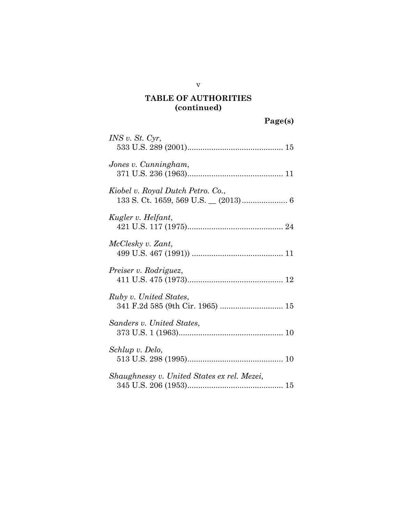|  | aget | s |  |
|--|------|---|--|
|  |      |   |  |
|  |      |   |  |

| INS v. St. Cyr,                                            |
|------------------------------------------------------------|
| Jones v. Cunningham,                                       |
| Kiobel v. Royal Dutch Petro. Co.,                          |
| Kugler v. Helfant,                                         |
| McClesky v. Zant,                                          |
| Preiser v. Rodriguez,                                      |
| Ruby v. United States,<br>341 F.2d 585 (9th Cir. 1965)  15 |
| Sanders v. United States,                                  |
| Schlup v. Delo,                                            |
| Shaughnessy v. United States ex rel. Mezei,                |

v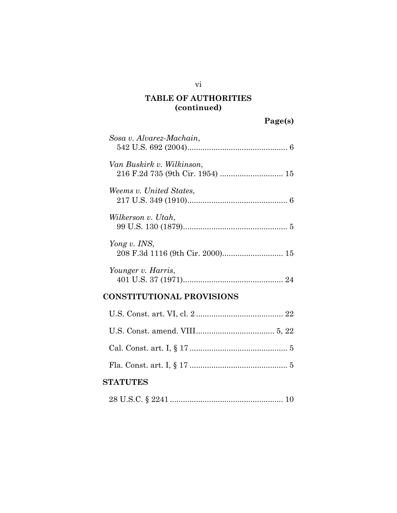| Sosa v. Alvarez-Machain,                         |
|--------------------------------------------------|
| Van Buskirk v. Wilkinson,                        |
| Weems v. United States.                          |
| Wilkerson v. Utah,                               |
| Yong v. INS,<br>208 F.3d 1116 (9th Cir. 2000) 15 |
| Younger v. Harris,                               |
| <b>CONSTITUTIONAL PROVISIONS</b>                 |

#### **STATUTES**

|--|--|--|--|--|

vi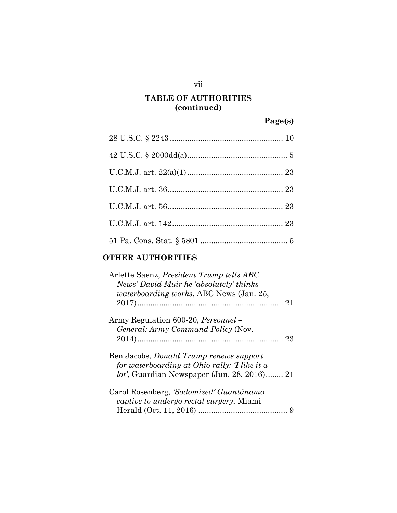#### vii

#### **TABLE OF AUTHORITIES (continued)**

# **Page(s)**

#### **OTHER AUTHORITIES**

| Arlette Saenz, <i>President Trump tells ABC</i><br>News' David Muir he 'absolutely' thinks |  |
|--------------------------------------------------------------------------------------------|--|
| <i>waterboarding works, ABC News (Jan. 25,</i>                                             |  |
|                                                                                            |  |
| Army Regulation 600-20, <i>Personnel</i> –                                                 |  |
| General: Army Command Policy (Nov.                                                         |  |
|                                                                                            |  |
| Ben Jacobs, <i>Donald Trump renews support</i>                                             |  |
| for waterboarding at Ohio rally: T like it a                                               |  |
| <i>lot'</i> , Guardian Newspaper (Jun. 28, 2016) 21                                        |  |
| Carol Rosenberg, 'Sodomized' Guantánamo                                                    |  |
| <i>captive to undergo rectal surgery</i> , Miami                                           |  |
|                                                                                            |  |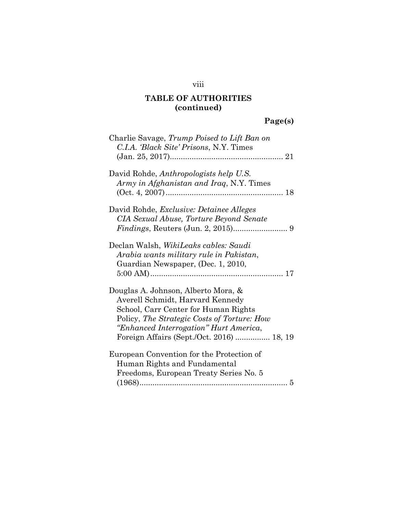# viii

# **TABLE OF AUTHORITIES (continued)**

# **Page(s)**

| Charlie Savage, Trump Poised to Lift Ban on<br>C.I.A. 'Black Site' Prisons, N.Y. Times                                                                                                                                                                |
|-------------------------------------------------------------------------------------------------------------------------------------------------------------------------------------------------------------------------------------------------------|
| David Rohde, Anthropologists help U.S.<br>Army in Afghanistan and Iraq, N.Y. Times                                                                                                                                                                    |
| David Rohde, <i>Exclusive: Detainee Alleges</i><br>CIA Sexual Abuse, Torture Beyond Senate                                                                                                                                                            |
| Declan Walsh, <i>WikiLeaks cables: Saudi</i><br>Arabia wants military rule in Pakistan,<br>Guardian Newspaper, (Dec. 1, 2010,                                                                                                                         |
| Douglas A. Johnson, Alberto Mora, &<br>Averell Schmidt, Harvard Kennedy<br>School, Carr Center for Human Rights<br>Policy, The Strategic Costs of Torture: How<br>"Enhanced Interrogation" Hurt America,<br>Foreign Affairs (Sept./Oct. 2016)  18, 19 |
| European Convention for the Protection of<br>Human Rights and Fundamental<br>Freedoms, European Treaty Series No. 5                                                                                                                                   |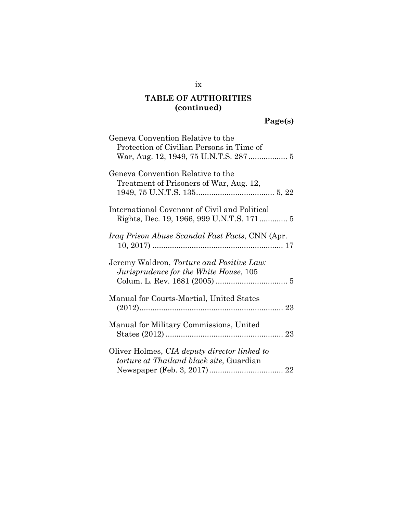# **Page(s)**

| Geneva Convention Relative to the<br>Protection of Civilian Persons in Time of           |
|------------------------------------------------------------------------------------------|
| Geneva Convention Relative to the<br>Treatment of Prisoners of War, Aug. 12,             |
| International Covenant of Civil and Political                                            |
| <i>Iraq Prison Abuse Scandal Fast Facts, CNN (Apr.</i>                                   |
| Jeremy Waldron, Torture and Positive Law:<br>Jurisprudence for the White House, 105      |
| Manual for Courts-Martial, United States                                                 |
| Manual for Military Commissions, United                                                  |
| Oliver Holmes, CIA deputy director linked to<br>torture at Thailand black site, Guardian |

ix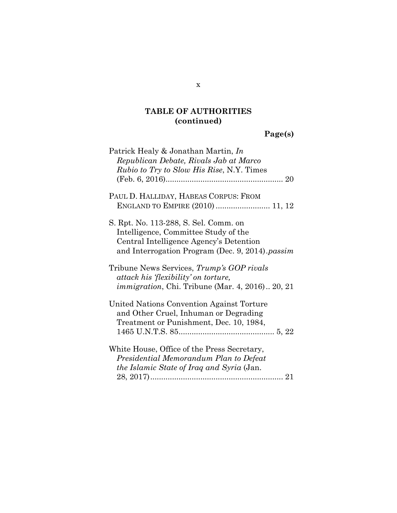**Page(s)**

| Patrick Healy & Jonathan Martin, In<br>Republican Debate, Rivals Jab at Marco<br><i>Rubio to Try to Slow His Rise, N.Y. Times</i>                                            |
|------------------------------------------------------------------------------------------------------------------------------------------------------------------------------|
|                                                                                                                                                                              |
| PAUL D. HALLIDAY, HABEAS CORPUS: FROM<br>ENGLAND TO EMPIRE (2010)  11, 12                                                                                                    |
| S. Rpt. No. 113-288, S. Sel. Comm. on<br>Intelligence, Committee Study of the<br>Central Intelligence Agency's Detention<br>and Interrogation Program (Dec. 9, 2014). passim |
| Tribune News Services, Trump's GOP rivals<br>attack his 'flexibility' on torture,<br><i>immigration</i> , Chi. Tribune (Mar. 4, 2016) 20, 21                                 |
| United Nations Convention Against Torture<br>and Other Cruel, Inhuman or Degrading<br>Treatment or Punishment, Dec. 10, 1984,                                                |
| White House, Office of the Press Secretary,<br>Presidential Memorandum Plan to Defeat<br><i>the Islamic State of Iraq and Syria</i> (Jan.                                    |

x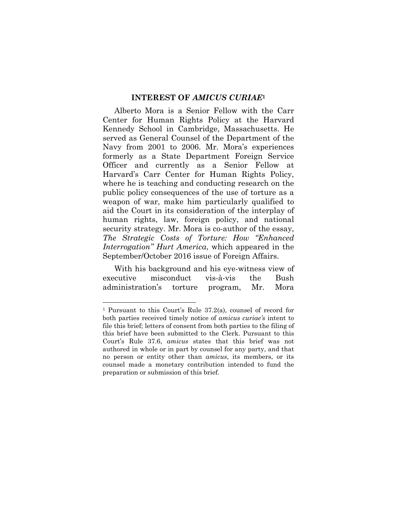#### **INTEREST OF** *AMICUS CURIAE***<sup>1</sup>**

 Alberto Mora is a Senior Fellow with the Carr Center for Human Rights Policy at the Harvard Kennedy School in Cambridge, Massachusetts. He served as General Counsel of the Department of the Navy from 2001 to 2006. Mr. Mora's experiences formerly as a State Department Foreign Service Officer and currently as a Senior Fellow at Harvard's Carr Center for Human Rights Policy, where he is teaching and conducting research on the public policy consequences of the use of torture as a weapon of war, make him particularly qualified to aid the Court in its consideration of the interplay of human rights, law, foreign policy, and national security strategy. Mr. Mora is co-author of the essay, *The Strategic Costs of Torture: How "Enhanced Interrogation" Hurt America*, which appeared in the September/October 2016 issue of Foreign Affairs.

 With his background and his eye-witness view of executive misconduct vis-à-vis the Bush administration's torture program, Mr. Mora

<sup>1</sup> Pursuant to this Court's Rule 37.2(a), counsel of record for both parties received timely notice of *amicus curiae's* intent to file this brief; letters of consent from both parties to the filing of this brief have been submitted to the Clerk. Pursuant to this Court's Rule 37.6, *amicus* states that this brief was not authored in whole or in part by counsel for any party, and that no person or entity other than *amicus*, its members, or its counsel made a monetary contribution intended to fund the preparation or submission of this brief.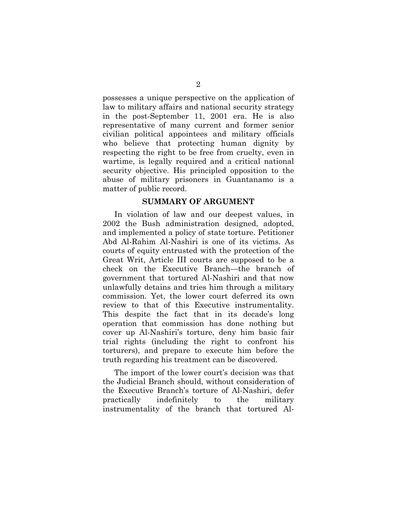possesses a unique perspective on the application of law to military affairs and national security strategy in the post-September 11, 2001 era. He is also representative of many current and former senior civilian political appointees and military officials who believe that protecting human dignity by respecting the right to be free from cruelty, even in wartime, is legally required and a critical national security objective. His principled opposition to the abuse of military prisoners in Guantanamo is a matter of public record.

#### **SUMMARY OF ARGUMENT**

In violation of law and our deepest values, in 2002 the Bush administration designed, adopted, and implemented a policy of state torture. Petitioner Abd Al-Rahim Al-Nashiri is one of its victims. As courts of equity entrusted with the protection of the Great Writ, Article III courts are supposed to be a check on the Executive Branch—the branch of government that tortured Al-Nashiri and that now unlawfully detains and tries him through a military commission. Yet, the lower court deferred its own review to that of this Executive instrumentality. This despite the fact that in its decade's long operation that commission has done nothing but cover up Al-Nashiri's torture, deny him basic fair trial rights (including the right to confront his torturers), and prepare to execute him before the truth regarding his treatment can be discovered.

The import of the lower court's decision was that the Judicial Branch should, without consideration of the Executive Branch's torture of Al-Nashiri, defer practically indefinitely to the military instrumentality of the branch that tortured Al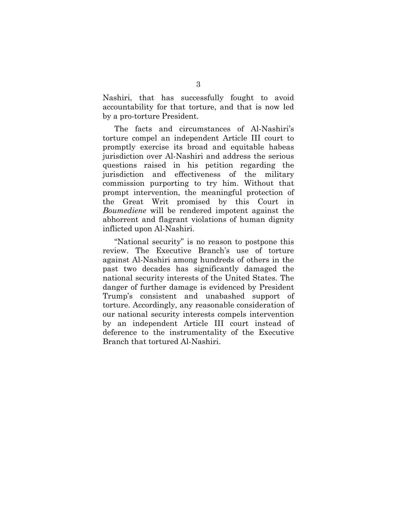Nashiri, that has successfully fought to avoid accountability for that torture, and that is now led by a pro-torture President.

The facts and circumstances of Al-Nashiri's torture compel an independent Article III court to promptly exercise its broad and equitable habeas jurisdiction over Al-Nashiri and address the serious questions raised in his petition regarding the jurisdiction and effectiveness of the military commission purporting to try him. Without that prompt intervention, the meaningful protection of the Great Writ promised by this Court in *Boumediene* will be rendered impotent against the abhorrent and flagrant violations of human dignity inflicted upon Al-Nashiri.

"National security" is no reason to postpone this review. The Executive Branch's use of torture against Al-Nashiri among hundreds of others in the past two decades has significantly damaged the national security interests of the United States. The danger of further damage is evidenced by President Trump's consistent and unabashed support of torture. Accordingly, any reasonable consideration of our national security interests compels intervention by an independent Article III court instead of deference to the instrumentality of the Executive Branch that tortured Al-Nashiri.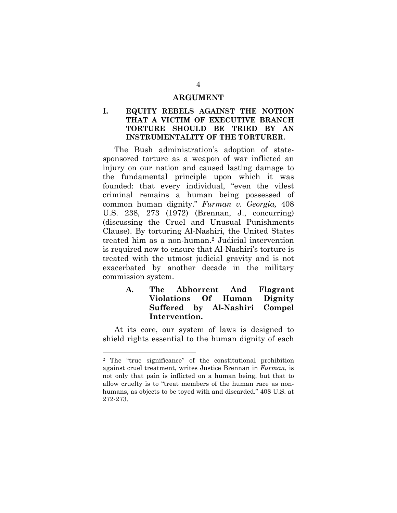#### **ARGUMENT**

#### **I. EQUITY REBELS AGAINST THE NOTION THAT A VICTIM OF EXECUTIVE BRANCH TORTURE SHOULD BE TRIED BY AN INSTRUMENTALITY OF THE TORTURER.**

The Bush administration's adoption of statesponsored torture as a weapon of war inflicted an injury on our nation and caused lasting damage to the fundamental principle upon which it was founded: that every individual, "even the vilest criminal remains a human being possessed of common human dignity." *Furman v. Georgia,* 408 U.S. 238, 273 (1972) (Brennan, J., concurring) (discussing the Cruel and Unusual Punishments Clause). By torturing Al-Nashiri, the United States treated him as a non-human.2 Judicial intervention is required now to ensure that Al-Nashiri's torture is treated with the utmost judicial gravity and is not exacerbated by another decade in the military commission system.

#### **A. The Abhorrent And Flagrant Violations Of Human Dignity Suffered by Al-Nashiri Compel Intervention.**

At its core, our system of laws is designed to shield rights essential to the human dignity of each

<sup>2</sup> The "true significance" of the constitutional prohibition against cruel treatment, writes Justice Brennan in *Furman*, is not only that pain is inflicted on a human being, but that to allow cruelty is to "treat members of the human race as nonhumans, as objects to be toyed with and discarded." 408 U.S. at 272-273.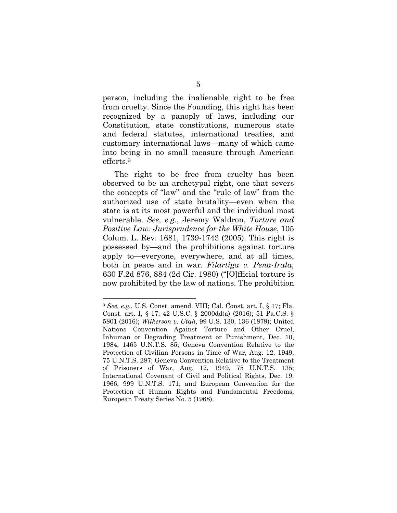person, including the inalienable right to be free from cruelty. Since the Founding, this right has been recognized by a panoply of laws, including our Constitution, state constitutions, numerous state and federal statutes, international treaties, and customary international laws—many of which came into being in no small measure through American efforts.3

The right to be free from cruelty has been observed to be an archetypal right, one that severs the concepts of "law" and the "rule of law" from the authorized use of state brutality—even when the state is at its most powerful and the individual most vulnerable. *See, e.g.*, Jeremy Waldron, *Torture and Positive Law: Jurisprudence for the White House*, 105 Colum. L. Rev. 1681, 1739-1743 (2005). This right is possessed by—and the prohibitions against torture apply to—everyone, everywhere, and at all times, both in peace and in war. *Filartiga v. Pena-Irala*, 630 F.2d 876, 884 (2d Cir. 1980) ("[O]fficial torture is now prohibited by the law of nations. The prohibition

<sup>3</sup> *See, e.g.*, U.S. Const. amend. VIII; Cal. Const. art. I, § 17; Fla. Const. art. I, § 17; 42 U.S.C. § 2000dd(a) (2016); 51 Pa.C.S. § 5801 (2016); *Wilkerson v. Utah*, 99 U.S. 130, 136 (1879); United Nations Convention Against Torture and Other Cruel, Inhuman or Degrading Treatment or Punishment, Dec. 10, 1984, 1465 U.N.T.S. 85; Geneva Convention Relative to the Protection of Civilian Persons in Time of War, Aug. 12, 1949, 75 U.N.T.S. 287; Geneva Convention Relative to the Treatment of Prisoners of War, Aug. 12, 1949, 75 U.N.T.S. 135; International Covenant of Civil and Political Rights, Dec. 19, 1966, 999 U.N.T.S. 171; and European Convention for the Protection of Human Rights and Fundamental Freedoms, European Treaty Series No. 5 (1968).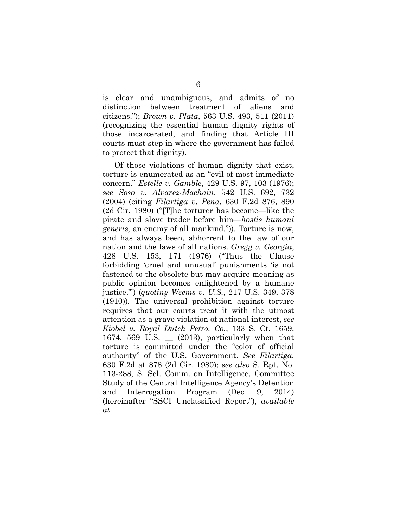is clear and unambiguous, and admits of no distinction between treatment of aliens and citizens."); *Brown v. Plata*, 563 U.S. 493, 511 (2011) (recognizing the essential human dignity rights of those incarcerated, and finding that Article III courts must step in where the government has failed to protect that dignity).

Of those violations of human dignity that exist, torture is enumerated as an "evil of most immediate concern." *Estelle v. Gamble*, 429 U.S. 97, 103 (1976); *see Sosa v. Alvarez-Machain*, 542 U.S. 692, 732 (2004) (citing *Filartiga v. Pena*, 630 F.2d 876, 890 (2d Cir. 1980) ("[T]he torturer has become—like the pirate and slave trader before him—*hostis humani generis*, an enemy of all mankind.")). Torture is now, and has always been, abhorrent to the law of our nation and the laws of all nations. *Gregg v. Georgia*, 428 U.S. 153, 171 (1976) ("Thus the Clause forbidding 'cruel and unusual' punishments 'is not fastened to the obsolete but may acquire meaning as public opinion becomes enlightened by a humane justice.'") (*quoting Weems v. U.S.*, 217 U.S. 349, 378 (1910)). The universal prohibition against torture requires that our courts treat it with the utmost attention as a grave violation of national interest, *see Kiobel v. Royal Dutch Petro. Co.*, 133 S. Ct. 1659, 1674, 569 U.S.  $\qquad$  (2013), particularly when that torture is committed under the "color of official authority" of the U.S. Government. *See Filartiga*, 630 F.2d at 878 (2d Cir. 1980); *see also* S. Rpt. No. 113-288, S. Sel. Comm. on Intelligence, Committee Study of the Central Intelligence Agency's Detention and Interrogation Program (Dec. 9, 2014) (hereinafter "SSCI Unclassified Report"), *available at*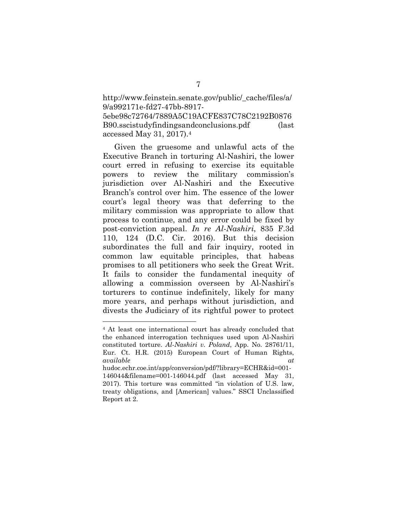http://www.feinstein.senate.gov/public/\_cache/files/a/ 9/a992171e-fd27-47bb-8917- 5ebe98c72764/7889A5C19ACFE837C78C2192B0876

B90.sscistudyfindingsandconclusions.pdf (last accessed May 31, 2017).4

Given the gruesome and unlawful acts of the Executive Branch in torturing Al-Nashiri, the lower court erred in refusing to exercise its equitable powers to review the military commission's jurisdiction over Al-Nashiri and the Executive Branch's control over him. The essence of the lower court's legal theory was that deferring to the military commission was appropriate to allow that process to continue, and any error could be fixed by post-conviction appeal. *In re Al-Nashiri*, 835 F.3d 110, 124 (D.C. Cir. 2016). But this decision subordinates the full and fair inquiry, rooted in common law equitable principles, that habeas promises to all petitioners who seek the Great Writ. It fails to consider the fundamental inequity of allowing a commission overseen by Al-Nashiri's torturers to continue indefinitely, likely for many more years, and perhaps without jurisdiction, and divests the Judiciary of its rightful power to protect

<sup>4</sup> At least one international court has already concluded that the enhanced interrogation techniques used upon Al-Nashiri constituted torture. *Al-Nashiri v. Poland*, App. No. 28761/11, Eur. Ct. H.R. (2015) European Court of Human Rights, *available at* hudoc.echr.coe.int/app/conversion/pdf/?library=ECHR&id=001-

<sup>146044&</sup>amp;filename=001-146044.pdf (last accessed May 31, 2017). This torture was committed "in violation of U.S. law, treaty obligations, and [American] values." SSCI Unclassified Report at 2.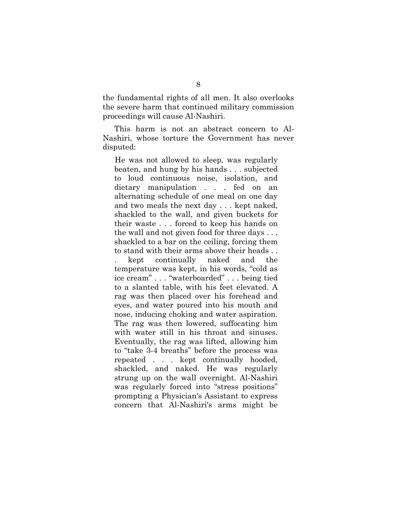the fundamental rights of all men. It also overlooks the severe harm that continued military commission proceedings will cause Al-Nashiri.

This harm is not an abstract concern to Al-Nashiri, whose torture the Government has never disputed:

He was not allowed to sleep, was regularly beaten, and hung by his hands . . . subjected to loud continuous noise, isolation, and dietary manipulation . . . fed on an alternating schedule of one meal on one day and two meals the next day . . . kept naked, shackled to the wall, and given buckets for their waste . . . forced to keep his hands on the wall and not given food for three days . . . shackled to a bar on the ceiling, forcing them to stand with their arms above their heads . . . kept continually naked and the temperature was kept, in his words, "cold as ice cream" . . . "waterboarded" . . . being tied to a slanted table, with his feet elevated. A rag was then placed over his forehead and eyes, and water poured into his mouth and nose, inducing choking and water aspiration. The rag was then lowered, suffocating him with water still in his throat and sinuses. Eventually, the rag was lifted, allowing him to "take 3-4 breaths" before the process was repeated . . . kept continually hooded, shackled, and naked. He was regularly strung up on the wall overnight. Al-Nashiri was regularly forced into "stress positions" prompting a Physician's Assistant to express concern that Al-Nashiri's arms might be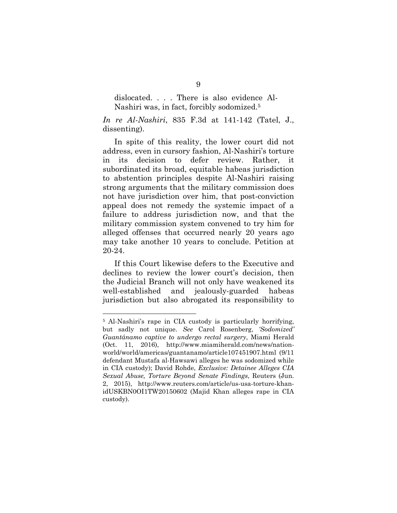dislocated. . . . There is also evidence Al-Nashiri was, in fact, forcibly sodomized.5

*In re Al-Nashiri*, 835 F.3d at 141-142 (Tatel, J., dissenting).

In spite of this reality, the lower court did not address, even in cursory fashion, Al-Nashiri's torture in its decision to defer review. Rather, it subordinated its broad, equitable habeas jurisdiction to abstention principles despite Al-Nashiri raising strong arguments that the military commission does not have jurisdiction over him, that post-conviction appeal does not remedy the systemic impact of a failure to address jurisdiction now, and that the military commission system convened to try him for alleged offenses that occurred nearly 20 years ago may take another 10 years to conclude. Petition at 20-24.

If this Court likewise defers to the Executive and declines to review the lower court's decision, then the Judicial Branch will not only have weakened its well-established and jealously-guarded habeas jurisdiction but also abrogated its responsibility to

<sup>5</sup> Al-Nashiri's rape in CIA custody is particularly horrifying, but sadly not unique. *See* Carol Rosenberg, *'Sodomized' Guantánamo captive to undergo rectal surgery*, Miami Herald (Oct. 11, 2016), http://www.miamiherald.com/news/nationworld/world/americas/guantanamo/article107451907.html (9/11 defendant Mustafa al-Hawsawi alleges he was sodomized while in CIA custody); David Rohde, *Exclusive: Detainee Alleges CIA Sexual Abuse, Torture Beyond Senate Findings*, Reuters (Jun. 2, 2015), http://www.reuters.com/article/us-usa-torture-khanidUSKBN0OI1TW20150602 (Majid Khan alleges rape in CIA custody).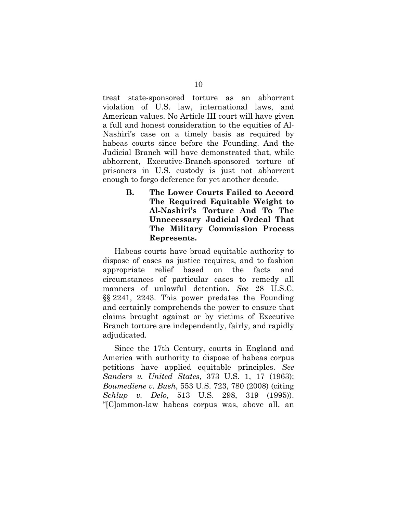treat state-sponsored torture as an abhorrent violation of U.S. law, international laws, and American values. No Article III court will have given a full and honest consideration to the equities of Al-Nashiri's case on a timely basis as required by habeas courts since before the Founding. And the Judicial Branch will have demonstrated that, while abhorrent, Executive-Branch-sponsored torture of prisoners in U.S. custody is just not abhorrent enough to forgo deference for yet another decade.

> **B. The Lower Courts Failed to Accord The Required Equitable Weight to Al-Nashiri's Torture And To The Unnecessary Judicial Ordeal That The Military Commission Process Represents.**

 Habeas courts have broad equitable authority to dispose of cases as justice requires, and to fashion appropriate relief based on the facts and circumstances of particular cases to remedy all manners of unlawful detention. *See* 28 U.S.C. §§ 2241, 2243. This power predates the Founding and certainly comprehends the power to ensure that claims brought against or by victims of Executive Branch torture are independently, fairly, and rapidly adjudicated.

Since the 17th Century, courts in England and America with authority to dispose of habeas corpus petitions have applied equitable principles. *See Sanders v. United States*, 373 U.S. 1, 17 (1963); *Boumediene v. Bush*, 553 U.S. 723, 780 (2008) (citing *Schlup v. Delo*, 513 U.S. 298, 319 (1995)). "[C]ommon-law habeas corpus was, above all, an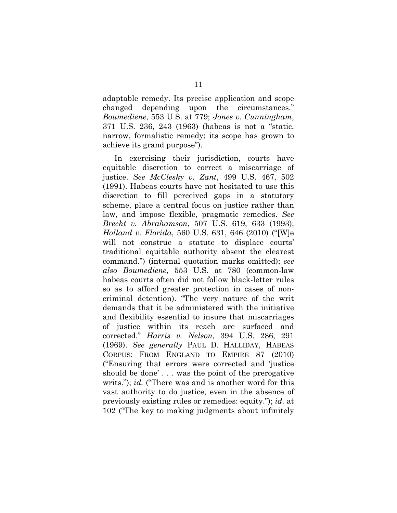adaptable remedy. Its precise application and scope changed depending upon the circumstances." *Boumediene*, 553 U.S. at 779; *Jones v. Cunningham*, 371 U.S. 236, 243 (1963) (habeas is not a "static, narrow, formalistic remedy; its scope has grown to achieve its grand purpose").

In exercising their jurisdiction, courts have equitable discretion to correct a miscarriage of justice. *See McClesky v. Zant*, 499 U.S. 467, 502 (1991). Habeas courts have not hesitated to use this discretion to fill perceived gaps in a statutory scheme, place a central focus on justice rather than law, and impose flexible, pragmatic remedies. *See Brecht v. Abrahamson*, 507 U.S. 619, 633 (1993); *Holland v. Florida*, 560 U.S. 631, 646 (2010) ("[W]e will not construe a statute to displace courts' traditional equitable authority absent the clearest command.") (internal quotation marks omitted); *see also Boumediene*, 553 U.S. at 780 (common-law habeas courts often did not follow black-letter rules so as to afford greater protection in cases of noncriminal detention). "The very nature of the writ demands that it be administered with the initiative and flexibility essential to insure that miscarriages of justice within its reach are surfaced and corrected." *Harris v. Nelson*, 394 U.S. 286, 291 (1969). *See generally* PAUL D. HALLIDAY, HABEAS CORPUS: FROM ENGLAND TO EMPIRE 87 (2010) ("Ensuring that errors were corrected and 'justice should be done' . . . was the point of the prerogative writs."); *id.* ("There was and is another word for this vast authority to do justice, even in the absence of previously existing rules or remedies: equity."); *id.* at 102 ("The key to making judgments about infinitely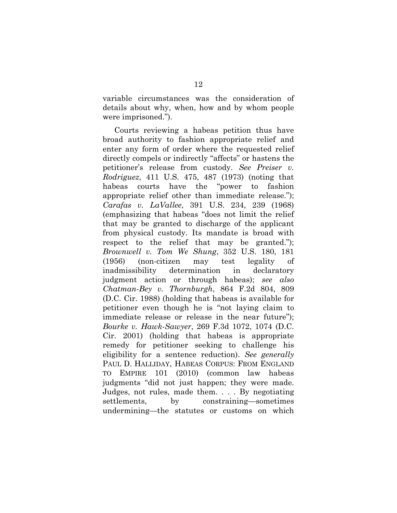variable circumstances was the consideration of details about why, when, how and by whom people were imprisoned.").

Courts reviewing a habeas petition thus have broad authority to fashion appropriate relief and enter any form of order where the requested relief directly compels or indirectly "affects" or hastens the petitioner's release from custody. *See Preiser v. Rodriguez*, 411 U.S. 475, 487 (1973) (noting that habeas courts have the "power to fashion appropriate relief other than immediate release."); *Carafas v. LaVallee*, 391 U.S. 234, 239 (1968) (emphasizing that habeas "does not limit the relief that may be granted to discharge of the applicant from physical custody. Its mandate is broad with respect to the relief that may be granted."); *Brownwell v. Tom We Shung*, 352 U.S. 180, 181 (1956) (non-citizen may test legality of inadmissibility determination in declaratory judgment action or through habeas); *see also Chatman-Bey v. Thornburgh*, 864 F.2d 804, 809 (D.C. Cir. 1988) (holding that habeas is available for petitioner even though he is "not laying claim to immediate release or release in the near future"); *Bourke v. Hawk-Sawyer*, 269 F.3d 1072, 1074 (D.C. Cir. 2001) (holding that habeas is appropriate remedy for petitioner seeking to challenge his eligibility for a sentence reduction). *See generally* PAUL D. HALLIDAY, HABEAS CORPUS: FROM ENGLAND TO EMPIRE 101 (2010) (common law habeas judgments "did not just happen; they were made. Judges, not rules, made them. . . . By negotiating settlements, by constraining—sometimes undermining—the statutes or customs on which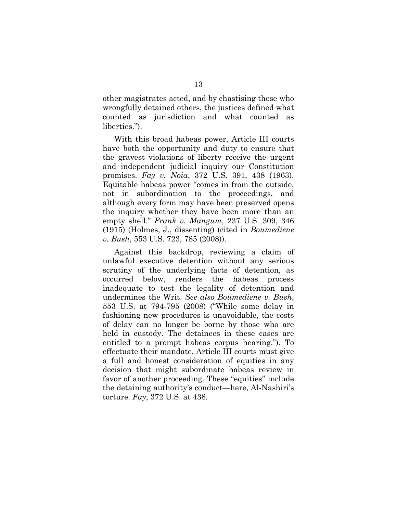other magistrates acted, and by chastising those who wrongfully detained others, the justices defined what counted as jurisdiction and what counted as liberties.").

With this broad habeas power, Article III courts have both the opportunity and duty to ensure that the gravest violations of liberty receive the urgent and independent judicial inquiry our Constitution promises. *Fay v. Noia*, 372 U.S. 391, 438 (1963). Equitable habeas power "comes in from the outside, not in subordination to the proceedings, and although every form may have been preserved opens the inquiry whether they have been more than an empty shell." *Frank v. Mangum*, 237 U.S. 309, 346 (1915) (Holmes, J., dissenting) (cited in *Boumediene v. Bush*, 553 U.S. 723, 785 (2008)).

Against this backdrop, reviewing a claim of unlawful executive detention without any serious scrutiny of the underlying facts of detention, as occurred below, renders the habeas process inadequate to test the legality of detention and undermines the Writ. *See also Boumediene v. Bush*, 553 U.S. at 794-795 (2008) ("While some delay in fashioning new procedures is unavoidable, the costs of delay can no longer be borne by those who are held in custody. The detainees in these cases are entitled to a prompt habeas corpus hearing."). To effectuate their mandate, Article III courts must give a full and honest consideration of equities in any decision that might subordinate habeas review in favor of another proceeding. These "equities" include the detaining authority's conduct—here, Al-Nashiri's torture. *Fay*, 372 U.S. at 438.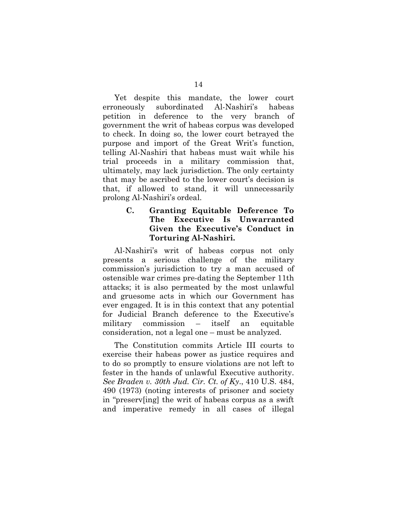Yet despite this mandate, the lower court erroneously subordinated Al-Nashiri's habeas petition in deference to the very branch of government the writ of habeas corpus was developed to check. In doing so, the lower court betrayed the purpose and import of the Great Writ's function, telling Al-Nashiri that habeas must wait while his trial proceeds in a military commission that, ultimately, may lack jurisdiction. The only certainty that may be ascribed to the lower court's decision is that, if allowed to stand, it will unnecessarily prolong Al-Nashiri's ordeal.

#### **C. Granting Equitable Deference To The Executive Is Unwarranted Given the Executive's Conduct in Torturing Al-Nashiri.**

Al-Nashiri's writ of habeas corpus not only presents a serious challenge of the military commission's jurisdiction to try a man accused of ostensible war crimes pre-dating the September 11th attacks; it is also permeated by the most unlawful and gruesome acts in which our Government has ever engaged. It is in this context that any potential for Judicial Branch deference to the Executive's military commission – itself an equitable consideration, not a legal one – must be analyzed.

The Constitution commits Article III courts to exercise their habeas power as justice requires and to do so promptly to ensure violations are not left to fester in the hands of unlawful Executive authority. *See Braden v. 30th Jud. Cir. Ct. of Ky*., 410 U.S. 484, 490 (1973) (noting interests of prisoner and society in "preserv[ing] the writ of habeas corpus as a swift and imperative remedy in all cases of illegal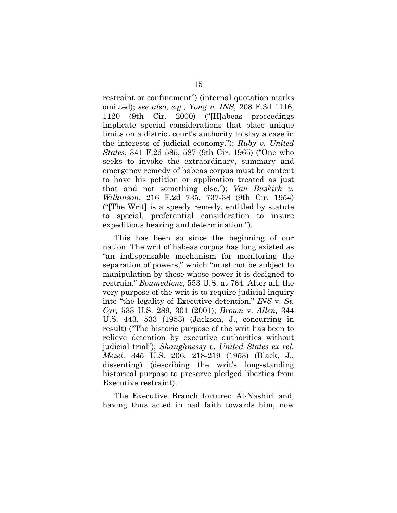restraint or confinement") (internal quotation marks omitted); *see also*, *e.g.*, *Yong v. INS*, 208 F.3d 1116, 1120 (9th Cir. 2000) ("[H]abeas proceedings implicate special considerations that place unique limits on a district court's authority to stay a case in the interests of judicial economy."); *Ruby v. United States*, 341 F.2d 585, 587 (9th Cir. 1965) ("One who seeks to invoke the extraordinary, summary and emergency remedy of habeas corpus must be content to have his petition or application treated as just that and not something else."); *Van Buskirk v. Wilkinson*, 216 F.2d 735, 737-38 (9th Cir. 1954) ("[The Writ] is a speedy remedy, entitled by statute to special, preferential consideration to insure expeditious hearing and determination.").

This has been so since the beginning of our nation. The writ of habeas corpus has long existed as "an indispensable mechanism for monitoring the separation of powers," which "must not be subject to manipulation by those whose power it is designed to restrain." *Boumediene*, 553 U.S. at 764*.* After all, the very purpose of the writ is to require judicial inquiry into "the legality of Executive detention." *INS* v. *St. Cyr,* 533 U.S. 289, 301 (2001); *Brown* v. *Allen,* 344 U.S. 443, 533 (1953) (Jackson, J., concurring in result) ("The historic purpose of the writ has been to relieve detention by executive authorities without judicial trial"); *Shaughnessy v. United States ex rel. Mezei,* 345 U.S. 206, 218-219 (1953) (Black, J., dissenting) (describing the writ's long-standing historical purpose to preserve pledged liberties from Executive restraint).

The Executive Branch tortured Al-Nashiri and, having thus acted in bad faith towards him, now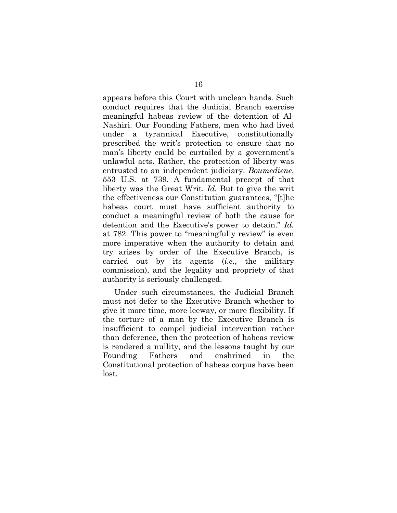appears before this Court with unclean hands. Such conduct requires that the Judicial Branch exercise meaningful habeas review of the detention of Al-Nashiri. Our Founding Fathers, men who had lived under a tyrannical Executive, constitutionally prescribed the writ's protection to ensure that no man's liberty could be curtailed by a government's unlawful acts. Rather, the protection of liberty was entrusted to an independent judiciary. *Boumediene*, 553 U.S. at 739. A fundamental precept of that liberty was the Great Writ. *Id.* But to give the writ the effectiveness our Constitution guarantees, "[t]he habeas court must have sufficient authority to conduct a meaningful review of both the cause for detention and the Executive's power to detain." *Id.* at 782. This power to "meaningfully review" is even more imperative when the authority to detain and try arises by order of the Executive Branch, is carried out by its agents (*i.e.*, the military commission), and the legality and propriety of that authority is seriously challenged.

Under such circumstances, the Judicial Branch must not defer to the Executive Branch whether to give it more time, more leeway, or more flexibility. If the torture of a man by the Executive Branch is insufficient to compel judicial intervention rather than deference, then the protection of habeas review is rendered a nullity, and the lessons taught by our Founding Fathers and enshrined in the Constitutional protection of habeas corpus have been lost.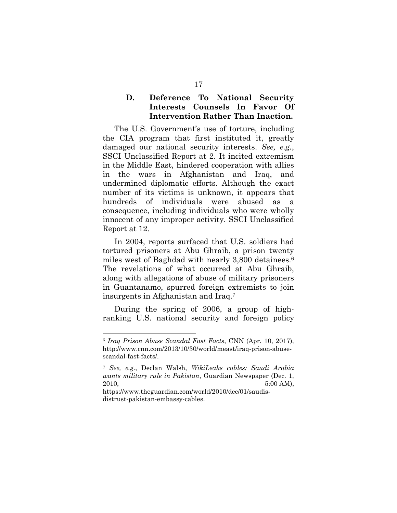#### **D. Deference To National Security Interests Counsels In Favor Of Intervention Rather Than Inaction.**

The U.S. Government's use of torture, including the CIA program that first instituted it, greatly damaged our national security interests. *See, e.g.*, SSCI Unclassified Report at 2. It incited extremism in the Middle East, hindered cooperation with allies in the wars in Afghanistan and Iraq, and undermined diplomatic efforts. Although the exact number of its victims is unknown, it appears that hundreds of individuals were abused as a consequence, including individuals who were wholly innocent of any improper activity. SSCI Unclassified Report at 12.

In 2004, reports surfaced that U.S. soldiers had tortured prisoners at Abu Ghraib, a prison twenty miles west of Baghdad with nearly 3,800 detainees.<sup>6</sup> The revelations of what occurred at Abu Ghraib, along with allegations of abuse of military prisoners in Guantanamo, spurred foreign extremists to join insurgents in Afghanistan and Iraq.7

During the spring of 2006, a group of highranking U.S. national security and foreign policy

<sup>6</sup> *Iraq Prison Abuse Scandal Fast Facts*, CNN (Apr. 10, 2017), http://www.cnn.com/2013/10/30/world/meast/iraq-prison-abusescandal-fast-facts/.

<sup>7</sup> *See, e.g.*, Declan Walsh, *WikiLeaks cables: Saudi Arabia wants military rule in Pakistan*, Guardian Newspaper (Dec. 1, 2010, 5:00 AM),

https://www.theguardian.com/world/2010/dec/01/saudisdistrust-pakistan-embassy-cables.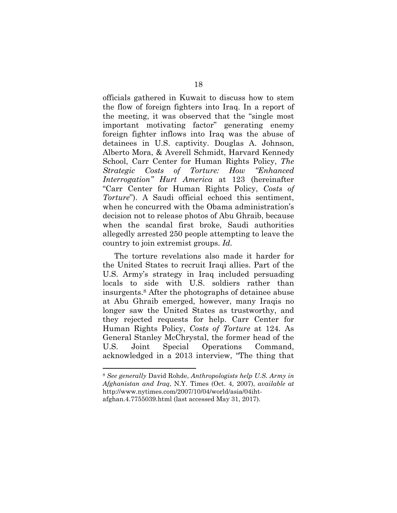officials gathered in Kuwait to discuss how to stem the flow of foreign fighters into Iraq. In a report of the meeting, it was observed that the "single most important motivating factor" generating enemy foreign fighter inflows into Iraq was the abuse of detainees in U.S. captivity. Douglas A. Johnson, Alberto Mora, & Averell Schmidt, Harvard Kennedy School, Carr Center for Human Rights Policy, *The Strategic Costs of Torture: How "Enhanced Interrogation" Hurt America* at 123 (hereinafter "Carr Center for Human Rights Policy, *Costs of Torture*"). A Saudi official echoed this sentiment, when he concurred with the Obama administration's decision not to release photos of Abu Ghraib, because when the scandal first broke, Saudi authorities allegedly arrested 250 people attempting to leave the country to join extremist groups. *Id.*

The torture revelations also made it harder for the United States to recruit Iraqi allies. Part of the U.S. Army's strategy in Iraq included persuading locals to side with U.S. soldiers rather than insurgents.8 After the photographs of detainee abuse at Abu Ghraib emerged, however, many Iraqis no longer saw the United States as trustworthy, and they rejected requests for help. Carr Center for Human Rights Policy, *Costs of Torture* at 124*.* As General Stanley McChrystal, the former head of the U.S. Joint Special Operations Command, acknowledged in a 2013 interview, "The thing that

<sup>8</sup> *See generally* David Rohde, *Anthropologists help U.S. Army in Afghanistan and Iraq*, N.Y. Times (Oct. 4, 2007), *available at* http://www.nytimes.com/2007/10/04/world/asia/04ihtafghan.4.7755039.html (last accessed May 31, 2017).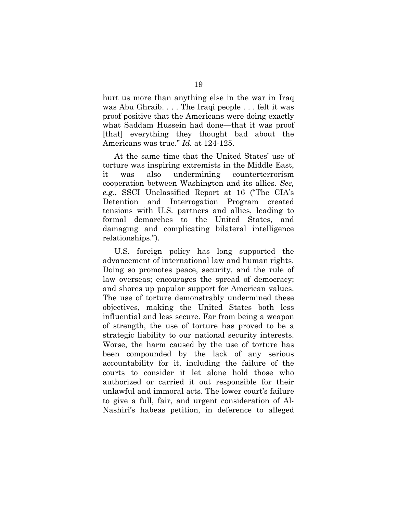hurt us more than anything else in the war in Iraq was Abu Ghraib. . . . The Iraqi people . . . felt it was proof positive that the Americans were doing exactly what Saddam Hussein had done—that it was proof [that] everything they thought bad about the Americans was true." *Id.* at 124-125.

At the same time that the United States' use of torture was inspiring extremists in the Middle East, it was also undermining counterterrorism cooperation between Washington and its allies. *See, e.g.*, SSCI Unclassified Report at 16 ("The CIA's Detention and Interrogation Program created tensions with U.S. partners and allies, leading to formal demarches to the United States, and damaging and complicating bilateral intelligence relationships.").

U.S. foreign policy has long supported the advancement of international law and human rights. Doing so promotes peace, security, and the rule of law overseas; encourages the spread of democracy; and shores up popular support for American values. The use of torture demonstrably undermined these objectives, making the United States both less influential and less secure. Far from being a weapon of strength, the use of torture has proved to be a strategic liability to our national security interests. Worse, the harm caused by the use of torture has been compounded by the lack of any serious accountability for it, including the failure of the courts to consider it let alone hold those who authorized or carried it out responsible for their unlawful and immoral acts. The lower court's failure to give a full, fair, and urgent consideration of Al-Nashiri's habeas petition, in deference to alleged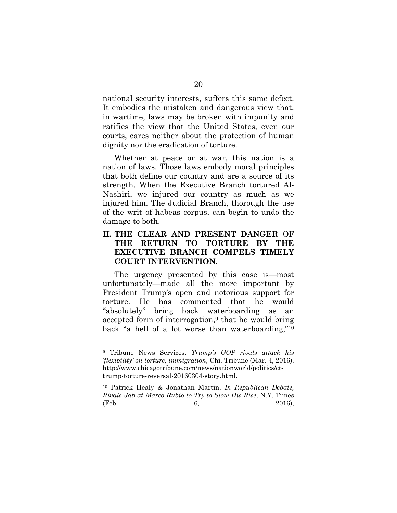national security interests, suffers this same defect. It embodies the mistaken and dangerous view that, in wartime, laws may be broken with impunity and ratifies the view that the United States, even our courts, cares neither about the protection of human dignity nor the eradication of torture.

Whether at peace or at war, this nation is a nation of laws. Those laws embody moral principles that both define our country and are a source of its strength. When the Executive Branch tortured Al-Nashiri, we injured our country as much as we injured him. The Judicial Branch, thorough the use of the writ of habeas corpus, can begin to undo the damage to both.

#### **II. THE CLEAR AND PRESENT DANGER** OF **THE RETURN TO TORTURE BY THE EXECUTIVE BRANCH COMPELS TIMELY COURT INTERVENTION.**

The urgency presented by this case is—most unfortunately—made all the more important by President Trump's open and notorious support for torture. He has commented that he would "absolutely" bring back waterboarding as an accepted form of interrogation,<sup>9</sup> that he would bring back "a hell of a lot worse than waterboarding,"10

<sup>9</sup> Tribune News Services, *Trump's GOP rivals attack his 'flexibility' on torture, immigration*, Chi. Tribune (Mar. 4, 2016), http://www.chicagotribune.com/news/nationworld/politics/cttrump-torture-reversal-20160304-story.html.

<sup>10</sup> Patrick Healy & Jonathan Martin, *In Republican Debate, Rivals Jab at Marco Rubio to Try to Slow His Rise*, N.Y. Times (Feb. 2016),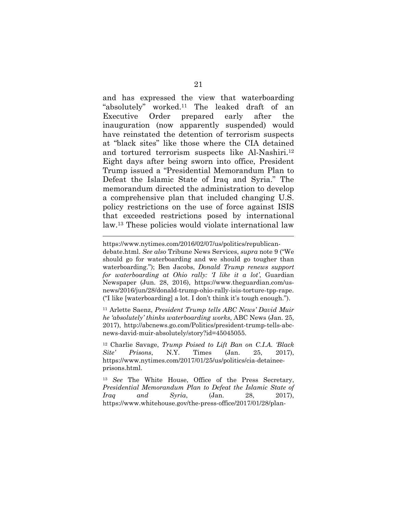and has expressed the view that waterboarding "absolutely" worked.11 The leaked draft of an Executive Order prepared early after the inauguration (now apparently suspended) would have reinstated the detention of terrorism suspects at "black sites" like those where the CIA detained and tortured terrorism suspects like Al-Nashiri.12 Eight days after being sworn into office, President Trump issued a "Presidential Memorandum Plan to Defeat the Islamic State of Iraq and Syria." The memorandum directed the administration to develop a comprehensive plan that included changing U.S. policy restrictions on the use of force against ISIS that exceeded restrictions posed by international law.13 These policies would violate international law

 $\overline{a}$ 

11 Arlette Saenz, *President Trump tells ABC News' David Muir he 'absolutely' thinks waterboarding works*, ABC News (Jan. 25, 2017), http://abcnews.go.com/Politics/president-trump-tells-abcnews-david-muir-absolutely/story?id=45045055.

12 Charlie Savage, *Trump Poised to Lift Ban on C.I.A. 'Black Site' Prisons*, N.Y. Times (Jan. 25, 2017), https://www.nytimes.com/2017/01/25/us/politics/cia-detaineeprisons.html.

<sup>13</sup> *See* The White House, Office of the Press Secretary, *Presidential Memorandum Plan to Defeat the Islamic State of Iraq and Syria*, (Jan. 28, 2017), https://www.whitehouse.gov/the-press-office/2017/01/28/plan-

https://www.nytimes.com/2016/02/07/us/politics/republicandebate.html. *See also* Tribune News Services, *supra* note 9 ("We should go for waterboarding and we should go tougher than waterboarding."); Ben Jacobs, *Donald Trump renews support for waterboarding at Ohio rally: 'I like it a lot'*, Guardian Newspaper (Jun. 28, 2016), https://www.theguardian.com/usnews/2016/jun/28/donald-trump-ohio-rally-isis-torture-tpp-rape. ("I like [waterboarding] a lot. I don't think it's tough enough.").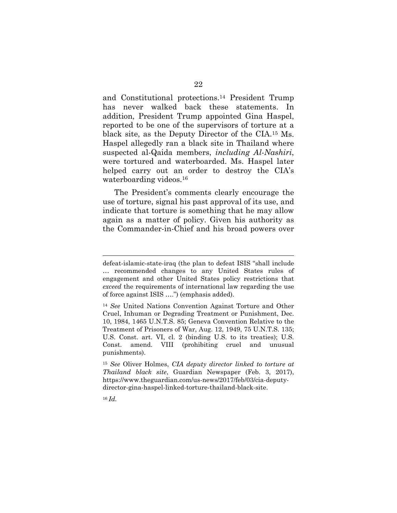and Constitutional protections.14 President Trump has never walked back these statements. In addition, President Trump appointed Gina Haspel, reported to be one of the supervisors of torture at a black site, as the Deputy Director of the CIA.15 Ms. Haspel allegedly ran a black site in Thailand where suspected al-Qaida members, *including Al-Nashiri*, were tortured and waterboarded. Ms. Haspel later helped carry out an order to destroy the CIA's waterboarding videos.16

The President's comments clearly encourage the use of torture, signal his past approval of its use, and indicate that torture is something that he may allow again as a matter of policy. Given his authority as the Commander-in-Chief and his broad powers over

defeat-islamic-state-iraq (the plan to defeat ISIS "shall include … recommended changes to any United States rules of engagement and other United States policy restrictions that *exceed* the requirements of international law regarding the use of force against ISIS ….") (emphasis added).

<sup>14</sup> *See* United Nations Convention Against Torture and Other Cruel, Inhuman or Degrading Treatment or Punishment, Dec. 10, 1984, 1465 U.N.T.S. 85; Geneva Convention Relative to the Treatment of Prisoners of War, Aug. 12, 1949, 75 U.N.T.S. 135; U.S. Const. art. VI, cl. 2 (binding U.S. to its treaties); U.S. Const. amend. VIII (prohibiting cruel and unusual punishments).

<sup>15</sup> *See* Oliver Holmes, *CIA deputy director linked to torture at Thailand black site*, Guardian Newspaper (Feb. 3, 2017), https://www.theguardian.com/us-news/2017/feb/03/cia-deputydirector-gina-haspel-linked-torture-thailand-black-site.

<sup>16</sup> *Id.*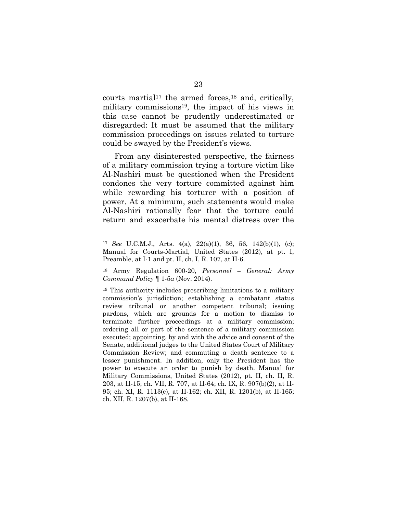courts martial<sup>17</sup> the armed forces,<sup>18</sup> and, critically, military commissions<sup>19</sup>, the impact of his views in this case cannot be prudently underestimated or disregarded: It must be assumed that the military commission proceedings on issues related to torture could be swayed by the President's views.

From any disinterested perspective, the fairness of a military commission trying a torture victim like Al-Nashiri must be questioned when the President condones the very torture committed against him while rewarding his torturer with a position of power. At a minimum, such statements would make Al-Nashiri rationally fear that the torture could return and exacerbate his mental distress over the

<sup>17</sup> *See* U.C.M.J., Arts. 4(a), 22(a)(1), 36, 56, 142(b)(1), (c); Manual for Courts-Martial, United States (2012), at pt. I, Preamble, at I-1 and pt. II, ch. I, R. 107, at II-6.

<sup>18</sup> Army Regulation 600-20, *Personnel – General: Army Command Policy* ¶ 1-5*a* (Nov. 2014).

<sup>19</sup> This authority includes prescribing limitations to a military commission's jurisdiction; establishing a combatant status review tribunal or another competent tribunal; issuing pardons, which are grounds for a motion to dismiss to terminate further proceedings at a military commission; ordering all or part of the sentence of a military commission executed; appointing, by and with the advice and consent of the Senate, additional judges to the United States Court of Military Commission Review; and commuting a death sentence to a lesser punishment. In addition, only the President has the power to execute an order to punish by death. Manual for Military Commissions, United States (2012), pt. II, ch. II, R. 203, at II-15; ch. VII, R. 707, at II-64; ch. IX, R. 907(b)(2), at II-95; ch. XI, R. 1113(c), at II-162; ch. XII, R. 1201(b), at II-165; ch. XII, R. 1207(b), at II-168.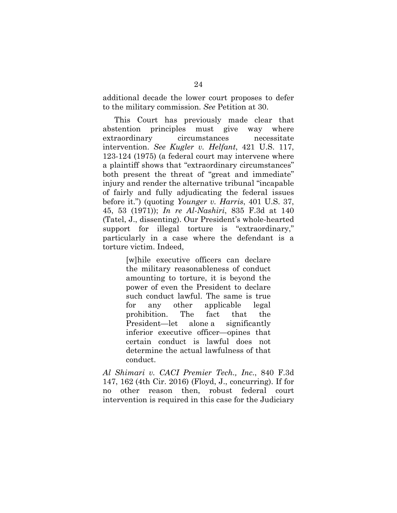additional decade the lower court proposes to defer to the military commission. *See* Petition at 30.

This Court has previously made clear that abstention principles must give way where extraordinary circumstances necessitate intervention. *See Kugler v. Helfant*, 421 U.S. 117, 123-124 (1975) (a federal court may intervene where a plaintiff shows that "extraordinary circumstances" both present the threat of "great and immediate" injury and render the alternative tribunal "incapable of fairly and fully adjudicating the federal issues before it.") (quoting *Younger v. Harris*, 401 U.S. 37, 45, 53 (1971)); *In re Al-Nashiri*, 835 F.3d at 140 (Tatel, J., dissenting). Our President's whole-hearted support for illegal torture is "extraordinary," particularly in a case where the defendant is a torture victim. Indeed,

> [w]hile executive officers can declare the military reasonableness of conduct amounting to torture, it is beyond the power of even the President to declare such conduct lawful. The same is true for any other applicable legal prohibition. The fact that the President—let alone a significantly inferior executive officer—opines that certain conduct is lawful does not determine the actual lawfulness of that conduct.

*Al Shimari v. CACI Premier Tech., Inc.*, 840 F.3d 147, 162 (4th Cir. 2016) (Floyd, J., concurring). If for no other reason then, robust federal court intervention is required in this case for the Judiciary